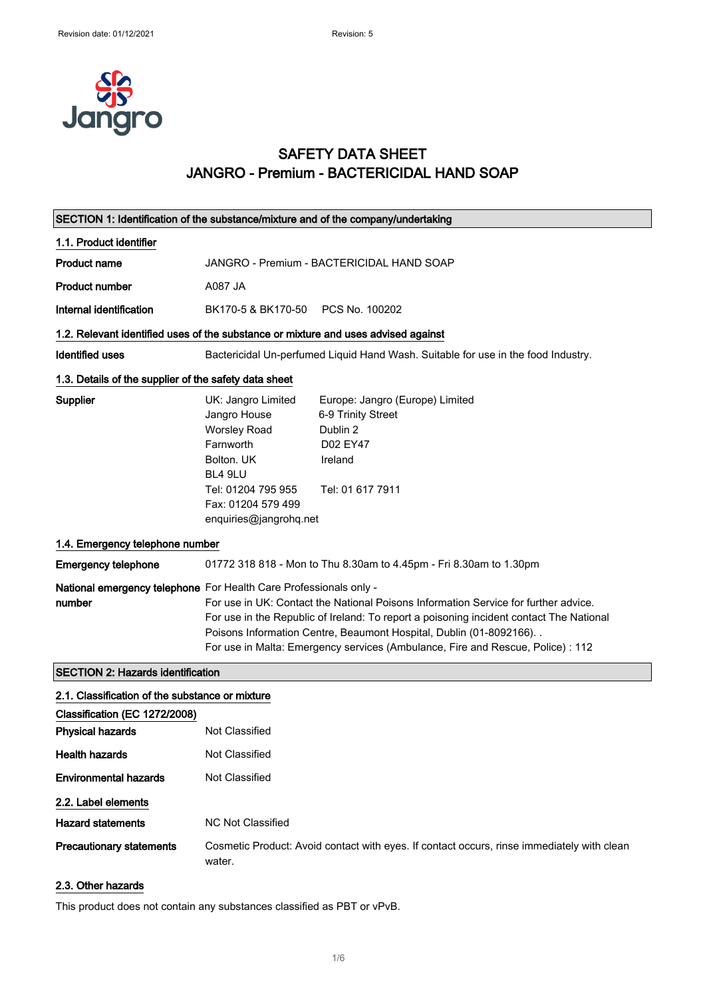

## SAFETY DATA SHEET JANGRO - Premium - BACTERICIDAL HAND SOAP

| SECTION 1: Identification of the substance/mixture and of the company/undertaking  |                                                                                                                                                                                                                                                                                                                                                                                                                 |                                                                                                              |
|------------------------------------------------------------------------------------|-----------------------------------------------------------------------------------------------------------------------------------------------------------------------------------------------------------------------------------------------------------------------------------------------------------------------------------------------------------------------------------------------------------------|--------------------------------------------------------------------------------------------------------------|
| 1.1. Product identifier                                                            |                                                                                                                                                                                                                                                                                                                                                                                                                 |                                                                                                              |
| <b>Product name</b>                                                                | JANGRO - Premium - BACTERICIDAL HAND SOAP                                                                                                                                                                                                                                                                                                                                                                       |                                                                                                              |
| <b>Product number</b>                                                              | A087 JA                                                                                                                                                                                                                                                                                                                                                                                                         |                                                                                                              |
| Internal identification                                                            | BK170-5 & BK170-50                                                                                                                                                                                                                                                                                                                                                                                              | PCS No. 100202                                                                                               |
| 1.2. Relevant identified uses of the substance or mixture and uses advised against |                                                                                                                                                                                                                                                                                                                                                                                                                 |                                                                                                              |
| <b>Identified uses</b>                                                             |                                                                                                                                                                                                                                                                                                                                                                                                                 | Bactericidal Un-perfumed Liquid Hand Wash. Suitable for use in the food Industry.                            |
| 1.3. Details of the supplier of the safety data sheet                              |                                                                                                                                                                                                                                                                                                                                                                                                                 |                                                                                                              |
| Supplier                                                                           | UK: Jangro Limited<br>Jangro House<br><b>Worsley Road</b><br>Farnworth<br>Bolton, UK<br>BL4 9LU<br>Tel: 01204 795 955<br>Fax: 01204 579 499<br>enquiries@jangrohq.net                                                                                                                                                                                                                                           | Europe: Jangro (Europe) Limited<br>6-9 Trinity Street<br>Dublin 2<br>D02 EY47<br>Ireland<br>Tel: 01 617 7911 |
| 1.4. Emergency telephone number                                                    |                                                                                                                                                                                                                                                                                                                                                                                                                 |                                                                                                              |
| <b>Emergency telephone</b>                                                         |                                                                                                                                                                                                                                                                                                                                                                                                                 | 01772 318 818 - Mon to Thu 8.30am to 4.45pm - Fri 8.30am to 1.30pm                                           |
| number                                                                             | National emergency telephone For Health Care Professionals only -<br>For use in UK: Contact the National Poisons Information Service for further advice.<br>For use in the Republic of Ireland: To report a poisoning incident contact The National<br>Poisons Information Centre, Beaumont Hospital, Dublin (01-8092166). .<br>For use in Malta: Emergency services (Ambulance, Fire and Rescue, Police) : 112 |                                                                                                              |
| <b>SECTION 2: Hazards identification</b>                                           |                                                                                                                                                                                                                                                                                                                                                                                                                 |                                                                                                              |
| 2.1. Classification of the substance or mixture                                    |                                                                                                                                                                                                                                                                                                                                                                                                                 |                                                                                                              |
| Classification (EC 1272/2008)                                                      |                                                                                                                                                                                                                                                                                                                                                                                                                 |                                                                                                              |
| <b>Physical hazards</b>                                                            | Not Classified                                                                                                                                                                                                                                                                                                                                                                                                  |                                                                                                              |
| <b>Health hazards</b>                                                              | Not Classified                                                                                                                                                                                                                                                                                                                                                                                                  |                                                                                                              |
| <b>Environmental hazards</b>                                                       | Not Classified                                                                                                                                                                                                                                                                                                                                                                                                  |                                                                                                              |
| 2.2. Label elements                                                                |                                                                                                                                                                                                                                                                                                                                                                                                                 |                                                                                                              |
| <b>Hazard statements</b>                                                           | <b>NC Not Classified</b>                                                                                                                                                                                                                                                                                                                                                                                        |                                                                                                              |
| <b>Precautionary statements</b>                                                    | water.                                                                                                                                                                                                                                                                                                                                                                                                          | Cosmetic Product: Avoid contact with eyes. If contact occurs, rinse immediately with clean                   |

#### 2.3. Other hazards

This product does not contain any substances classified as PBT or vPvB.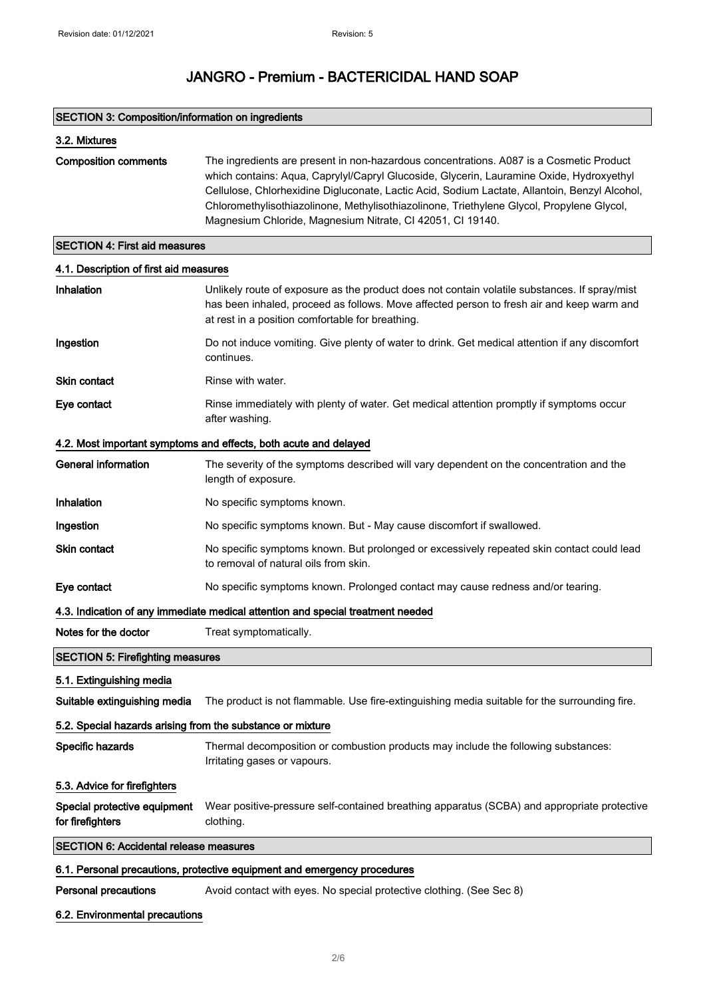### SECTION 3: Composition/information on ingredients

| 3.2. Mixtures               |                                                                                                                                                                                                                                                                                                                                                                                                                                                 |
|-----------------------------|-------------------------------------------------------------------------------------------------------------------------------------------------------------------------------------------------------------------------------------------------------------------------------------------------------------------------------------------------------------------------------------------------------------------------------------------------|
| <b>Composition comments</b> | The ingredients are present in non-hazardous concentrations. A087 is a Cosmetic Product<br>which contains: Agua, Caprylyl/Capryl Glucoside, Glycerin, Lauramine Oxide, Hydroxyethyl<br>Cellulose, Chlorhexidine Digluconate, Lactic Acid, Sodium Lactate, Allantoin, Benzyl Alcohol,<br>Chloromethylisothiazolinone, Methylisothiazolinone, Triethylene Glycol, Propylene Glycol,<br>Magnesium Chloride, Magnesium Nitrate, CI 42051, CI 19140. |

### SECTION 4: First aid measures

| 4.1. Description of first aid measures                                   |                                                                                                                                                                                                                                                |  |  |  |
|--------------------------------------------------------------------------|------------------------------------------------------------------------------------------------------------------------------------------------------------------------------------------------------------------------------------------------|--|--|--|
| Inhalation                                                               | Unlikely route of exposure as the product does not contain volatile substances. If spray/mist<br>has been inhaled, proceed as follows. Move affected person to fresh air and keep warm and<br>at rest in a position comfortable for breathing. |  |  |  |
| Ingestion                                                                | Do not induce vomiting. Give plenty of water to drink. Get medical attention if any discomfort<br>continues.                                                                                                                                   |  |  |  |
| Skin contact                                                             | Rinse with water.                                                                                                                                                                                                                              |  |  |  |
| Eye contact                                                              | Rinse immediately with plenty of water. Get medical attention promptly if symptoms occur<br>after washing.                                                                                                                                     |  |  |  |
|                                                                          | 4.2. Most important symptoms and effects, both acute and delayed                                                                                                                                                                               |  |  |  |
| <b>General information</b>                                               | The severity of the symptoms described will vary dependent on the concentration and the<br>length of exposure.                                                                                                                                 |  |  |  |
| Inhalation                                                               | No specific symptoms known.                                                                                                                                                                                                                    |  |  |  |
| Ingestion                                                                | No specific symptoms known. But - May cause discomfort if swallowed.                                                                                                                                                                           |  |  |  |
| <b>Skin contact</b>                                                      | No specific symptoms known. But prolonged or excessively repeated skin contact could lead<br>to removal of natural oils from skin.                                                                                                             |  |  |  |
| Eye contact                                                              | No specific symptoms known. Prolonged contact may cause redness and/or tearing.                                                                                                                                                                |  |  |  |
|                                                                          | 4.3. Indication of any immediate medical attention and special treatment needed                                                                                                                                                                |  |  |  |
| Notes for the doctor                                                     | Treat symptomatically.                                                                                                                                                                                                                         |  |  |  |
| <b>SECTION 5: Firefighting measures</b>                                  |                                                                                                                                                                                                                                                |  |  |  |
| 5.1. Extinguishing media                                                 |                                                                                                                                                                                                                                                |  |  |  |
| Suitable extinguishing media                                             | The product is not flammable. Use fire-extinguishing media suitable for the surrounding fire.                                                                                                                                                  |  |  |  |
| 5.2. Special hazards arising from the substance or mixture               |                                                                                                                                                                                                                                                |  |  |  |
| Specific hazards                                                         | Thermal decomposition or combustion products may include the following substances:<br>Irritating gases or vapours.                                                                                                                             |  |  |  |
| 5.3. Advice for firefighters                                             |                                                                                                                                                                                                                                                |  |  |  |
| Special protective equipment<br>for firefighters                         | Wear positive-pressure self-contained breathing apparatus (SCBA) and appropriate protective<br>clothing.                                                                                                                                       |  |  |  |
| <b>SECTION 6: Accidental release measures</b>                            |                                                                                                                                                                                                                                                |  |  |  |
| 6.1. Personal precautions, protective equipment and emergency procedures |                                                                                                                                                                                                                                                |  |  |  |
| Personal precautions                                                     | Avoid contact with eyes. No special protective clothing. (See Sec 8)                                                                                                                                                                           |  |  |  |

#### 6.2. Environmental precautions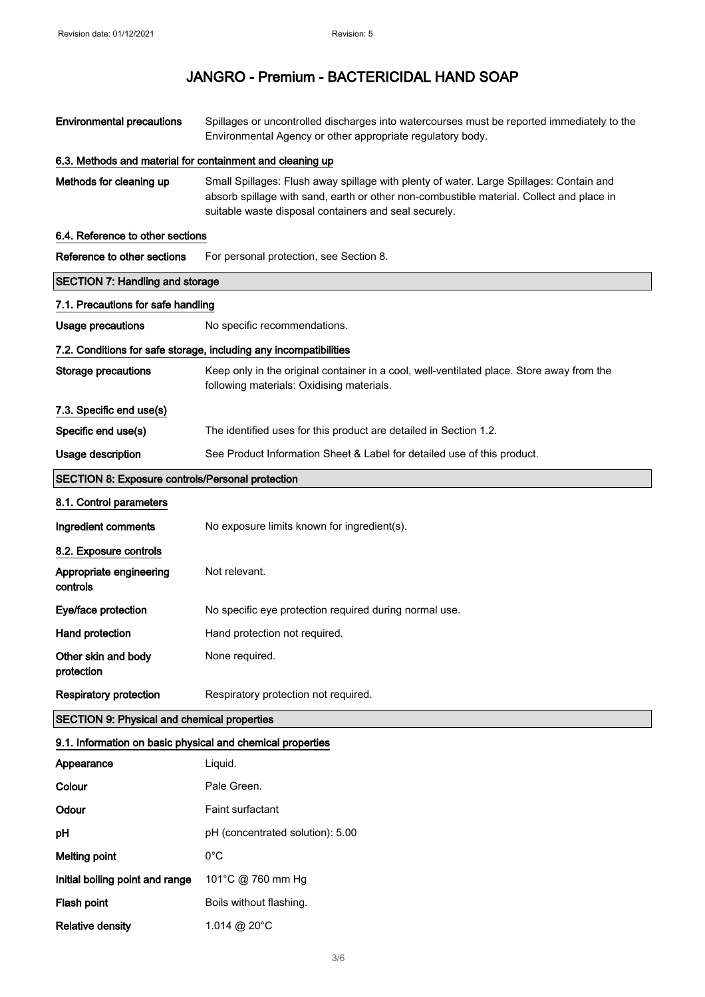| <b>Environmental precautions</b>                           | Spillages or uncontrolled discharges into watercourses must be reported immediately to the<br>Environmental Agency or other appropriate regulatory body.                                                                                     |  |
|------------------------------------------------------------|----------------------------------------------------------------------------------------------------------------------------------------------------------------------------------------------------------------------------------------------|--|
| 6.3. Methods and material for containment and cleaning up  |                                                                                                                                                                                                                                              |  |
| Methods for cleaning up                                    | Small Spillages: Flush away spillage with plenty of water. Large Spillages: Contain and<br>absorb spillage with sand, earth or other non-combustible material. Collect and place in<br>suitable waste disposal containers and seal securely. |  |
| 6.4. Reference to other sections                           |                                                                                                                                                                                                                                              |  |
| Reference to other sections                                | For personal protection, see Section 8.                                                                                                                                                                                                      |  |
| <b>SECTION 7: Handling and storage</b>                     |                                                                                                                                                                                                                                              |  |
| 7.1. Precautions for safe handling                         |                                                                                                                                                                                                                                              |  |
| Usage precautions                                          | No specific recommendations.                                                                                                                                                                                                                 |  |
|                                                            | 7.2. Conditions for safe storage, including any incompatibilities                                                                                                                                                                            |  |
| <b>Storage precautions</b>                                 | Keep only in the original container in a cool, well-ventilated place. Store away from the<br>following materials: Oxidising materials.                                                                                                       |  |
| 7.3. Specific end use(s)                                   |                                                                                                                                                                                                                                              |  |
| Specific end use(s)                                        | The identified uses for this product are detailed in Section 1.2.                                                                                                                                                                            |  |
| Usage description                                          | See Product Information Sheet & Label for detailed use of this product.                                                                                                                                                                      |  |
| <b>SECTION 8: Exposure controls/Personal protection</b>    |                                                                                                                                                                                                                                              |  |
| 8.1. Control parameters                                    |                                                                                                                                                                                                                                              |  |
| Ingredient comments                                        | No exposure limits known for ingredient(s).                                                                                                                                                                                                  |  |
| 8.2. Exposure controls                                     |                                                                                                                                                                                                                                              |  |
| Appropriate engineering<br>controls                        | Not relevant.                                                                                                                                                                                                                                |  |
| Eye/face protection                                        | No specific eye protection required during normal use.                                                                                                                                                                                       |  |
| Hand protection                                            | Hand protection not required.                                                                                                                                                                                                                |  |
| Other skin and body<br>protection                          | None required.                                                                                                                                                                                                                               |  |
| <b>Respiratory protection</b>                              | Respiratory protection not required.                                                                                                                                                                                                         |  |
| <b>SECTION 9: Physical and chemical properties</b>         |                                                                                                                                                                                                                                              |  |
| 9.1. Information on basic physical and chemical properties |                                                                                                                                                                                                                                              |  |
| Appearance                                                 | Liquid.                                                                                                                                                                                                                                      |  |
| Colour                                                     | Pale Green.                                                                                                                                                                                                                                  |  |
| Odour                                                      | Faint surfactant                                                                                                                                                                                                                             |  |
| pH                                                         | pH (concentrated solution): 5.00                                                                                                                                                                                                             |  |
| <b>Melting point</b>                                       | $0^{\circ}$ C                                                                                                                                                                                                                                |  |
| Initial boiling point and range                            | 101°C @ 760 mm Hg                                                                                                                                                                                                                            |  |
| Flash point                                                | Boils without flashing.                                                                                                                                                                                                                      |  |
| <b>Relative density</b>                                    | 1.014 @ 20°C                                                                                                                                                                                                                                 |  |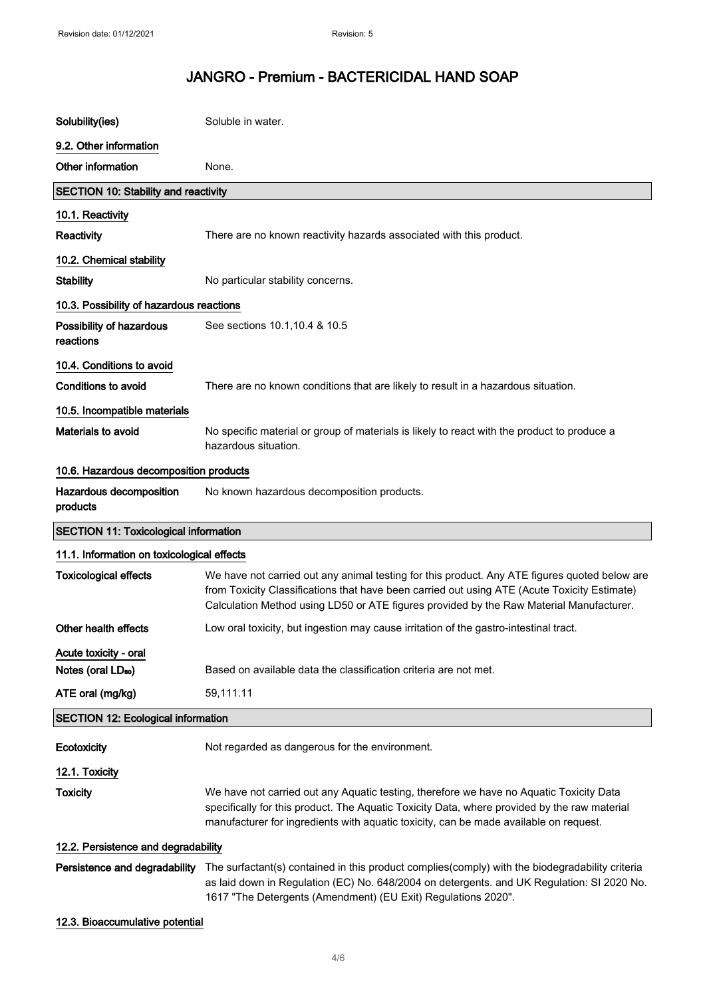| Solubility(ies)                              | Soluble in water.                                                                                                                                                                                                                                                                        |
|----------------------------------------------|------------------------------------------------------------------------------------------------------------------------------------------------------------------------------------------------------------------------------------------------------------------------------------------|
| 9.2. Other information                       |                                                                                                                                                                                                                                                                                          |
| Other information                            | None.                                                                                                                                                                                                                                                                                    |
| <b>SECTION 10: Stability and reactivity</b>  |                                                                                                                                                                                                                                                                                          |
| 10.1. Reactivity                             |                                                                                                                                                                                                                                                                                          |
| Reactivity                                   | There are no known reactivity hazards associated with this product.                                                                                                                                                                                                                      |
| 10.2. Chemical stability                     |                                                                                                                                                                                                                                                                                          |
| <b>Stability</b>                             | No particular stability concerns.                                                                                                                                                                                                                                                        |
| 10.3. Possibility of hazardous reactions     |                                                                                                                                                                                                                                                                                          |
| Possibility of hazardous<br>reactions        | See sections 10.1, 10.4 & 10.5                                                                                                                                                                                                                                                           |
| 10.4. Conditions to avoid                    |                                                                                                                                                                                                                                                                                          |
| <b>Conditions to avoid</b>                   | There are no known conditions that are likely to result in a hazardous situation.                                                                                                                                                                                                        |
| 10.5. Incompatible materials                 |                                                                                                                                                                                                                                                                                          |
| Materials to avoid                           | No specific material or group of materials is likely to react with the product to produce a<br>hazardous situation.                                                                                                                                                                      |
| 10.6. Hazardous decomposition products       |                                                                                                                                                                                                                                                                                          |
| Hazardous decomposition<br>products          | No known hazardous decomposition products.                                                                                                                                                                                                                                               |
|                                              |                                                                                                                                                                                                                                                                                          |
| <b>SECTION 11: Toxicological information</b> |                                                                                                                                                                                                                                                                                          |
| 11.1. Information on toxicological effects   |                                                                                                                                                                                                                                                                                          |
| <b>Toxicological effects</b>                 | We have not carried out any animal testing for this product. Any ATE figures quoted below are<br>from Toxicity Classifications that have been carried out using ATE (Acute Toxicity Estimate)<br>Calculation Method using LD50 or ATE figures provided by the Raw Material Manufacturer. |
| Other health effects                         | Low oral toxicity, but ingestion may cause irritation of the gastro-intestinal tract.                                                                                                                                                                                                    |
| Acute toxicity - oral                        |                                                                                                                                                                                                                                                                                          |
| Notes (oral LD <sub>50</sub> )               | Based on available data the classification criteria are not met.                                                                                                                                                                                                                         |
| ATE oral (mg/kg)                             | 59,111.11                                                                                                                                                                                                                                                                                |
| <b>SECTION 12: Ecological information</b>    |                                                                                                                                                                                                                                                                                          |
| Ecotoxicity                                  | Not regarded as dangerous for the environment.                                                                                                                                                                                                                                           |
| 12.1. Toxicity                               |                                                                                                                                                                                                                                                                                          |
| <b>Toxicity</b>                              | We have not carried out any Aquatic testing, therefore we have no Aquatic Toxicity Data<br>specifically for this product. The Aquatic Toxicity Data, where provided by the raw material<br>manufacturer for ingredients with aquatic toxicity, can be made available on request.         |
| 12.2. Persistence and degradability          |                                                                                                                                                                                                                                                                                          |

#### 12.3. Bioaccumulative potential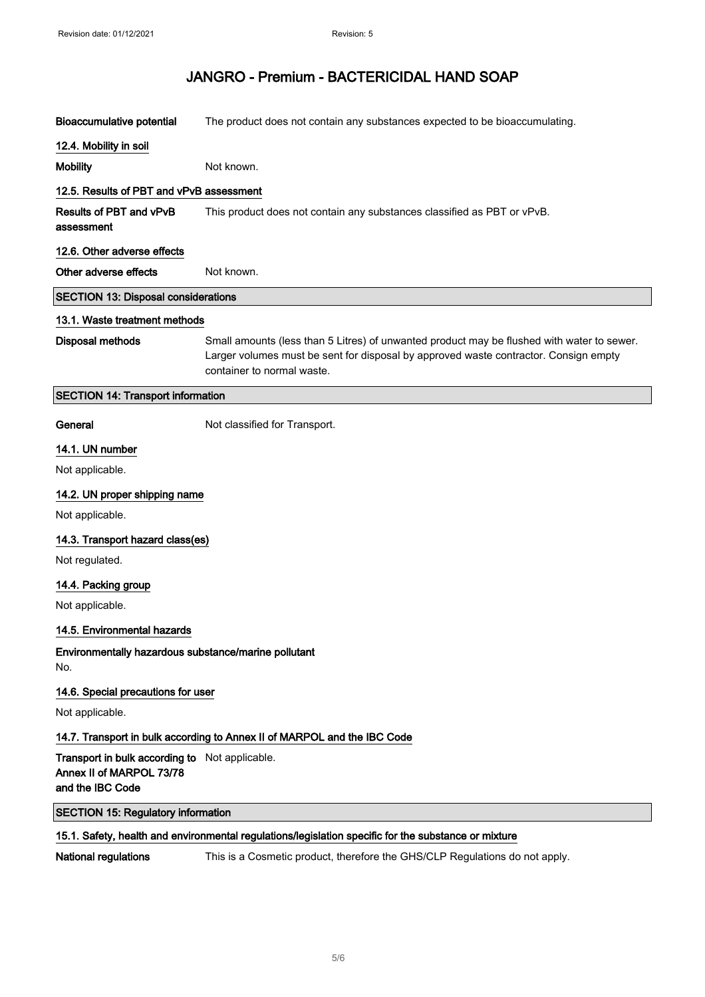| <b>Bioaccumulative potential</b>                                                                     | The product does not contain any substances expected to be bioaccumulating.                                                                                                                                      |  |
|------------------------------------------------------------------------------------------------------|------------------------------------------------------------------------------------------------------------------------------------------------------------------------------------------------------------------|--|
| 12.4. Mobility in soil                                                                               |                                                                                                                                                                                                                  |  |
| <b>Mobility</b>                                                                                      | Not known.                                                                                                                                                                                                       |  |
| 12.5. Results of PBT and vPvB assessment                                                             |                                                                                                                                                                                                                  |  |
| Results of PBT and vPvB<br>assessment                                                                | This product does not contain any substances classified as PBT or vPvB.                                                                                                                                          |  |
| 12.6. Other adverse effects                                                                          |                                                                                                                                                                                                                  |  |
| Other adverse effects                                                                                | Not known.                                                                                                                                                                                                       |  |
| <b>SECTION 13: Disposal considerations</b>                                                           |                                                                                                                                                                                                                  |  |
| 13.1. Waste treatment methods                                                                        |                                                                                                                                                                                                                  |  |
| <b>Disposal methods</b>                                                                              | Small amounts (less than 5 Litres) of unwanted product may be flushed with water to sewer.<br>Larger volumes must be sent for disposal by approved waste contractor. Consign empty<br>container to normal waste. |  |
| <b>SECTION 14: Transport information</b>                                                             |                                                                                                                                                                                                                  |  |
| General                                                                                              | Not classified for Transport.                                                                                                                                                                                    |  |
| 14.1. UN number                                                                                      |                                                                                                                                                                                                                  |  |
| Not applicable.                                                                                      |                                                                                                                                                                                                                  |  |
| 14.2. UN proper shipping name                                                                        |                                                                                                                                                                                                                  |  |
| Not applicable.                                                                                      |                                                                                                                                                                                                                  |  |
| 14.3. Transport hazard class(es)                                                                     |                                                                                                                                                                                                                  |  |
| Not regulated.                                                                                       |                                                                                                                                                                                                                  |  |
| 14.4. Packing group                                                                                  |                                                                                                                                                                                                                  |  |
| Not applicable.                                                                                      |                                                                                                                                                                                                                  |  |
| 14.5. Environmental hazards                                                                          |                                                                                                                                                                                                                  |  |
| Environmentally hazardous substance/marine pollutant<br>No.                                          |                                                                                                                                                                                                                  |  |
| 14.6. Special precautions for user                                                                   |                                                                                                                                                                                                                  |  |
| Not applicable.                                                                                      |                                                                                                                                                                                                                  |  |
| 14.7. Transport in bulk according to Annex II of MARPOL and the IBC Code                             |                                                                                                                                                                                                                  |  |
| Transport in bulk according to Not applicable.<br>Annex II of MARPOL 73/78<br>and the IBC Code       |                                                                                                                                                                                                                  |  |
| <b>SECTION 15: Regulatory information</b>                                                            |                                                                                                                                                                                                                  |  |
| 15.1. Safety, health and environmental regulations/legislation specific for the substance or mixture |                                                                                                                                                                                                                  |  |
| National regulations                                                                                 | This is a Cosmetic product, therefore the GHS/CLP Regulations do not apply.                                                                                                                                      |  |